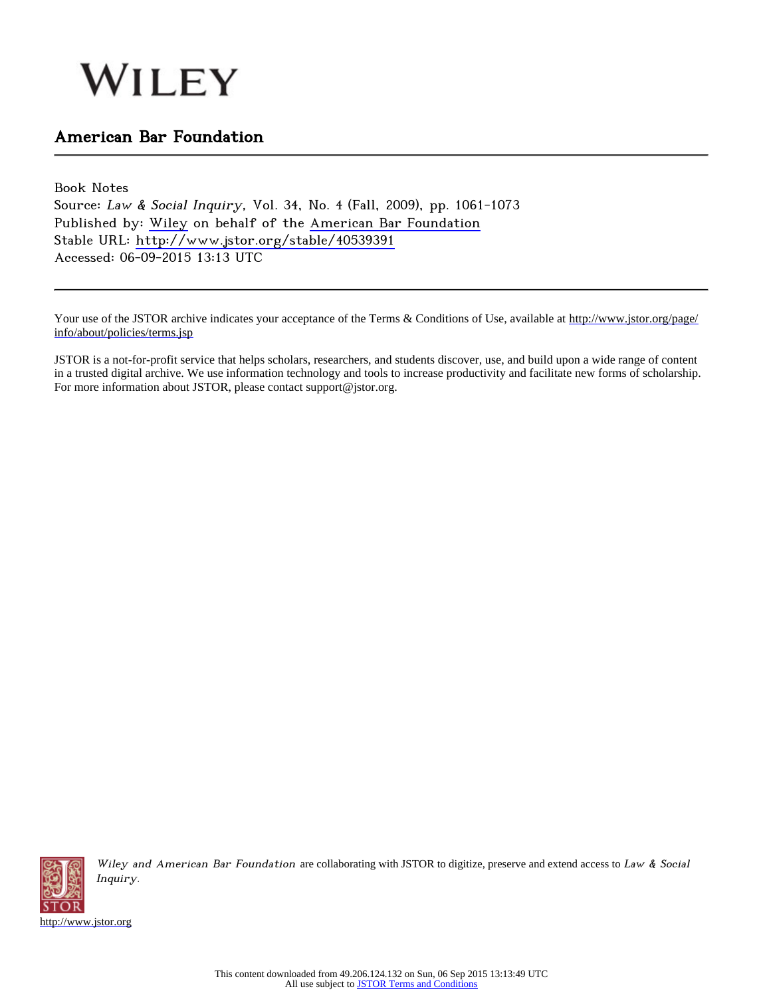# WILEY

## American Bar Foundation

Book Notes Source: Law & Social Inquiry, Vol. 34, No. 4 (Fall, 2009), pp. 1061-1073 Published by: [Wiley](http://www.jstor.org/action/showPublisher?publisherCode=black) on behalf of the [American Bar Foundation](http://www.jstor.org/action/showPublisher?publisherCode=abf) Stable URL: <http://www.jstor.org/stable/40539391> Accessed: 06-09-2015 13:13 UTC

Your use of the JSTOR archive indicates your acceptance of the Terms & Conditions of Use, available at [http://www.jstor.org/page/](http://www.jstor.org/page/info/about/policies/terms.jsp) [info/about/policies/terms.jsp](http://www.jstor.org/page/info/about/policies/terms.jsp)

JSTOR is a not-for-profit service that helps scholars, researchers, and students discover, use, and build upon a wide range of content in a trusted digital archive. We use information technology and tools to increase productivity and facilitate new forms of scholarship. For more information about JSTOR, please contact support@jstor.org.



Wiley and American Bar Foundation are collaborating with JSTOR to digitize, preserve and extend access to Law & Social Inquiry.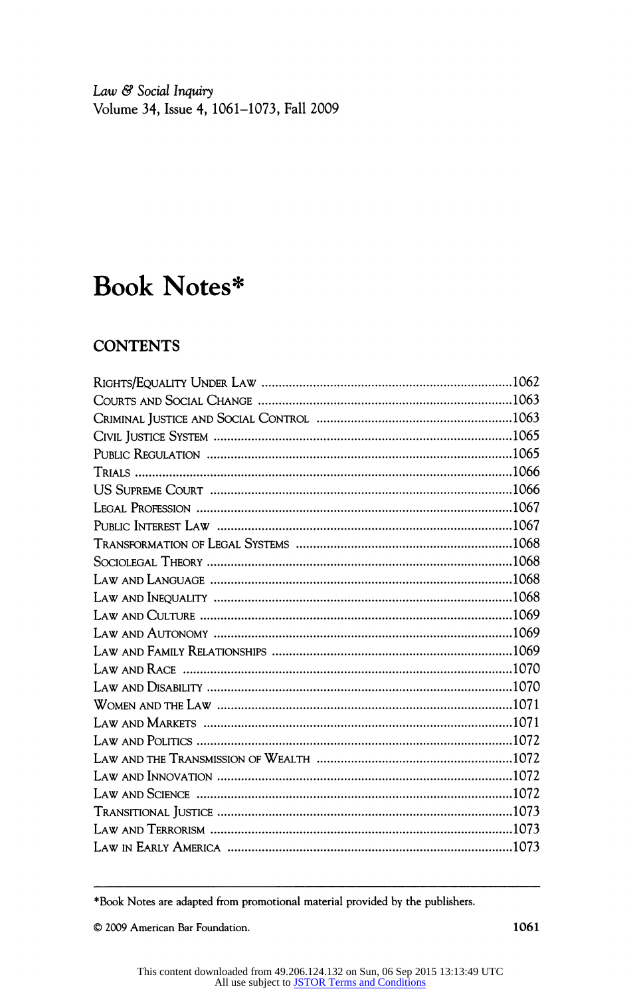Law & Social Inquiry Volume 34, Issue 4, 1061-1073, Fall 2009

# Book Notes\*

### **CONTENTS**

\*Book Notes are adapted from promotional material provided by the publishers.

© 2009 American Bar Foundation. 1061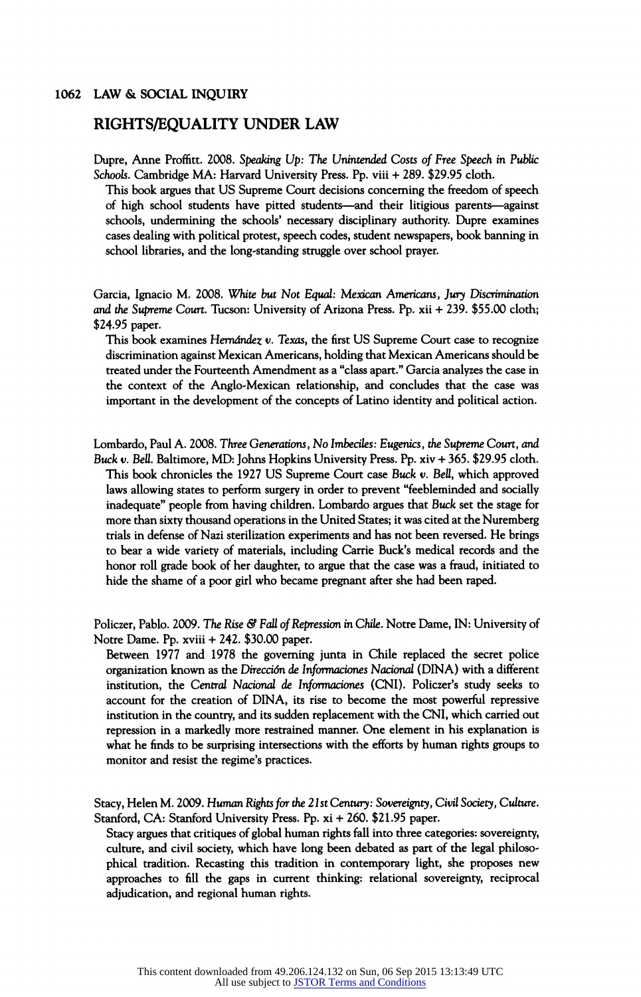#### RIGHTS/EQUALITY UNDER LAW

Dupre, Anne Proffitt. 2008. Speaking Up: The Unintended Costs of Free Speech in Public Schools. Cambridge MA: Harvard University Press. Pp. viii + 289. \$29.95 cloth.

This book argues that US Supreme Court decisions concerning the freedom of speech of high school students have pitted students—and their litigious parents—against schools, undermining the schools' necessary disciplinary authority. Dupre examines cases dealing with political protest, speech codes, student newspapers, book banning in school libraries, and the long-standing struggle over school prayer.

Garcia, Ignacio M. 2008. White but Not Equal: Mexican Americans, Jury Discrimination and the Supreme Court. Tucson: University of Arizona Press. Pp. xii + 239. \$55.00 cloth; \$24.95 paper.

This book examines Hernández v. Texas, the first US Supreme Court case to recognize discrimination against Mexican Americans, holding that Mexican Americans should be treated under the Fourteenth Amendment as a "class apart." Garcia analyzes the case in the context of the Anglo-Mexican relationship, and concludes that the case was important in the development of the concepts of Latino identity and political action.

Lombardo, Paul A. 2008. Three Generations, No Imbéciles: Eugenics, the Supreme Court, and Buck v. Bell. Baltimore, MD: Johns Hopkins University Press. Pp. xiv + 365. \$29.95 cloth. This book chronicles the 1927 US Supreme Court case Buck v. Bell, which approved laws allowing states to perform surgery in order to prevent "feebleminded and socially inadequate" people from having children. Lombardo argues that Buck set the stage for more than sixty thousand operations in the United States; it was cited at the Nuremberg trials in defense of Nazi sterilization experiments and has not been reversed. He brings to bear a wide variety of materials, including Carrie Buck's medical records and the honor roll grade book of her daughter, to argue that the case was a fraud, initiated to hide the shame of a poor girl who became pregnant after she had been raped.

Policzer, Pablo. 2009. The Rise & Fall of Repression in Chile. Notre Dame, IN: University of Notre Dame. Pp. xviii + 242. \$30.00 paper.

Between 1977 and 1978 the governing junta in Chile replaced the secret police organization known as the Dirección de înformaciones Nacional (DINA) with a different institution, the Central Nacional de înformaciones (CNI). Policzer's study seeks to account for the creation of DINA, its rise to become the most powerful repressive institution in the country, and its sudden replacement with the CNI, which carried out repression in a markedly more restrained manner. One element in his explanation is what he finds to be surprising intersections with the efforts by human rights groups to monitor and resist the regime's practices.

Stacy, Helen M. 2009. Human Rights for the 2lst Century: Sovereignty, Civil Society, Culture. Stanford, CA: Stanford University Press. Pp. xi + 260. \$21.95 paper.

Stacy argues that critiques of global human rights fall into three categories: sovereignty, culture, and civil society, which have long been debated as part of the legal philosophical tradition. Recasting this tradition in contemporary light, she proposes new approaches to fill the gaps in current thinking: relational sovereignty, reciprocal adjudication, and regional human rights.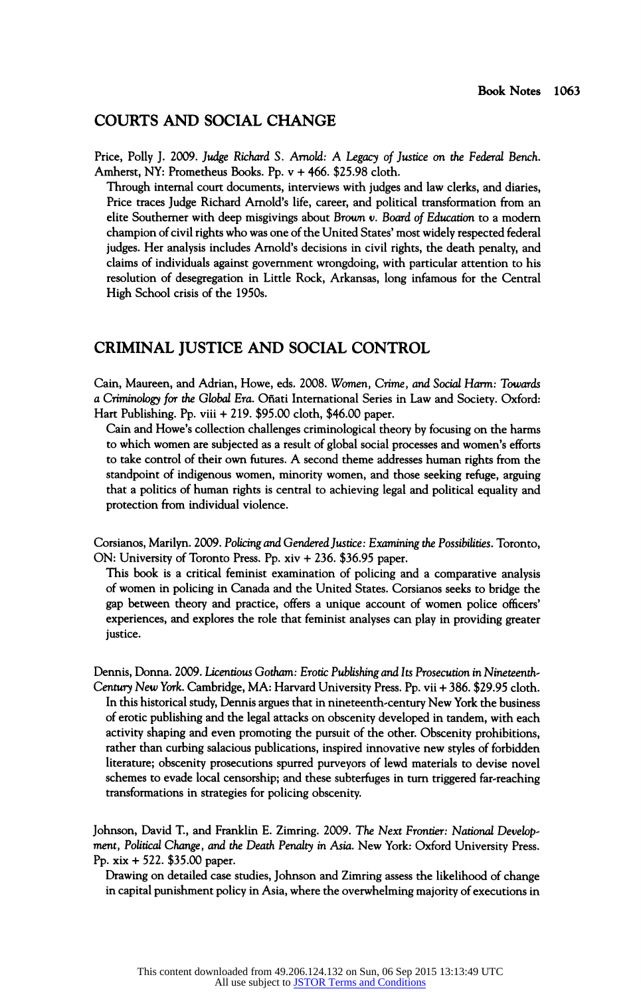#### COURTS AND SOCIAL CHANGE

Price, Polly J. 2009. Judge Richard S. Arnold: A Legacy of Justice on the Federal Bench, Amherst, NY: Prometheus Books. Pp. ν + 466. \$25.98 cloth.

Through internal court documents, interviews with judges and law clerks, and diaries, Price traces Judge Richard Arnold's life, career, and political transformation from an elite Southerner with deep misgivings about Brown v. Board of Education to a modern champion of civil rights who was one of the United States' most widely respected federal judges. Her analysis includes Arnold's decisions in civil rights, the death penalty, and claims of individuals against government wrongdoing, with particular attention to his resolution of desegregation in Little Rock, Arkansas, long infamous for the Central High School crisis of the 1950s.

#### CRIMINAL JUSTICE AND SOCIAL CONTROL

Cain, Maureen, and Adrian, Howe, eds. 2008. Women, Crime, and Social Harm: Towards a Criminology for the Global Era. Oñati International Series in Law and Society. Oxford: Hart Publishing. Pp. viii + 219. \$95.00 cloth, \$46.00 paper.

Cain and Howe's collection challenges criminological theory by focusing on the harms to which women are subjected as a result of global social processes and women's efforts to take control of their own futures. A second theme addresses human rights from the standpoint of indigenous women, minority women, and those seeking refuge, arguing that a politics of human rights is central to achieving legal and political equality and protection from individual violence.

Corsianos, Marilyn. 2009. Policing and Gendered Justice: Examining the Possibilities. Toronto, ON: University of Toronto Press. Pp. xiv + 236. \$36.95 paper.

This book is a critical feminist examination of policing and a comparative analysis of women in policing in Canada and the United States. Corsianos seeks to bridge the gap between theory and practice, offers a unique account of women police officers' experiences, and explores the role that feminist analyses can play in providing greater justice.

Dennis, Donna. 2009. Licentious Gotham: Erotic Publishing and Its Prosecution in Nineteenth-Century New York. Cambridge, MA: Harvard University Press. Pp. vii + 386. \$29.95 cloth. In this historical study, Dennis argues that in nineteenth-century New York the business of erotic publishing and the legal attacks on obscenity developed in tandem, with each activity shaping and even promoting the pursuit of the other. Obscenity prohibitions, rather than curbing salacious publications, inspired innovative new styles of forbidden literature; obscenity prosecutions spurred purveyors of lewd materials to devise novel schemes to evade local censorship; and these subterfuges in turn triggered far-reaching transformations in strategies for policing obscenity.

Johnson, David T., and Franklin E. Zimring. 2009. The Next Frontier: National Development, Political Change, and the Death Penalty in Asia. New York: Oxford University Press. Pp. xix + 522. \$35.00 paper.

Drawing on detailed case studies, Johnson and Zimring assess the likelihood of change in capital punishment policy in Asia, where the overwhelming majority of executions in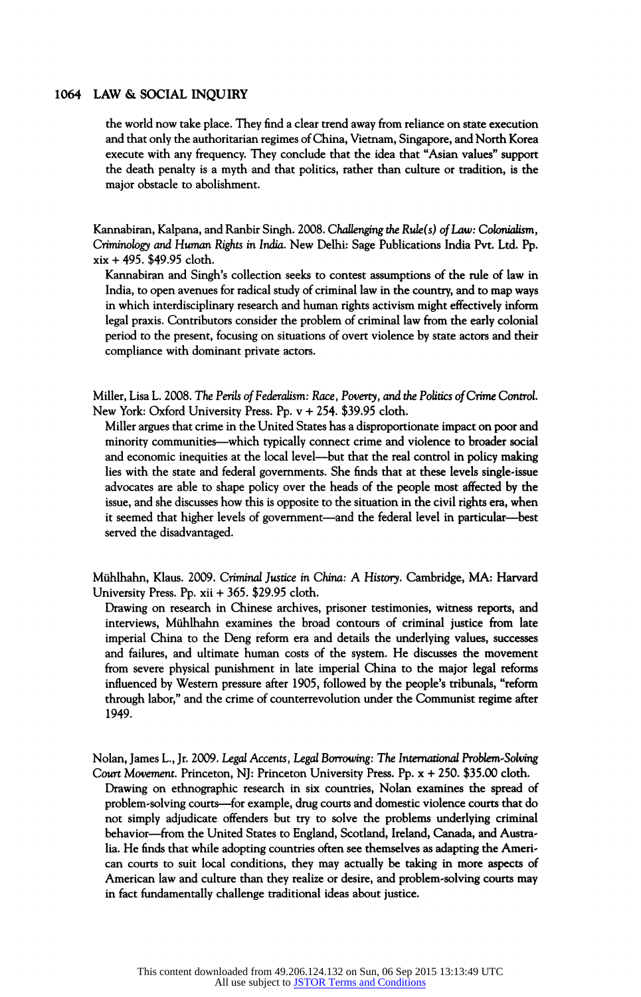the world now take place. They find a clear trend away from reliance on state execution and that only the authoritarian regimes of China, Vietnam, Singapore, and North Korea execute with any frequency. They conclude that the idea that "Asian values" support the death penalty is a myth and that politics, rather than culture or tradition, is the major obstacle to abolishment.

Kannabiran, Kalpana, and Ranbir Singh. 2008. Challenging the Rule(s) of Law: Colonialism, Criminohgy and Human Rigfits in India, New Delhi: Sage Publications India Pvt. Ltd. Pp. xix + 495. \$49.95 cloth.

Kannabiran and Singh's collection seeks to contest assumptions of the rule of law in India, to open avenues for radical study of criminal law in the country, and to map ways in which interdisciplinary research and human rights activism might effectively inform legal praxis. Contributors consider the problem of criminal law from the early colonial period to the present, focusing on situations of overt violence by state actors and their compliance with dominant private actors.

Miller, Lisa L. 2008. The Perils of Federalism: Race, Poverty, and the Politics of Crime Control. New York: Oxford University Press. Pp. ν + 254. \$39.95 cloth.

Miller argues that crime in the United States has a disproportionate impact on poor and minority communities—which typically connect crime and violence to broader social and economic inequities at the local level—but that the real control in policy making lies with the state and federal governments. She finds that at these levels single-issue advocates are able to shape policy over the heads of the people most affected by the issue, and she discusses how this is opposite to the situation in the civil rights era, when it seemed that higher levels of government—and the federal level in particular—best served the disadvantaged.

Mühlhahn, Klaus. 2009. Criminal Justice in China: A History. Cambridge, MA: Harvard University Press. Pp. xii + 365. \$29.95 cloth.

Drawing on research in Chinese archives, prisoner testimonies, witness reports, and interviews, Mühlhahn examines the broad contours of criminal justice from late imperial China to the Deng reform era and details the underlying values, successes and failures, and ultimate human costs of the system. He discusses the movement from severe physical punishment in late imperial China to the major legal reforms influenced by Western pressure after 1905, followed by the people's tribunals, "reform through labor," and the crime of counterrevolution under the Communist regime after 1949.

Nolan, James L., Jr. 2009. Legal Accents, Legal Borrowing: The International Problem-Solving Court Movement. Princeton, NJ: Princeton University Press. Pp. χ + 250. \$35.00 cloth.

Drawing on ethnographic research in six countries, Nolan examines the spread of problem-solving courts-for example, drug courts and domestic violence courts that do not simply adjudicate offenders but try to solve the problems underlying criminal behavior-from the United States to England, Scotland, Ireland, Canada, and Australia. He finds that while adopting countries often see themselves as adapting the American courts to suit local conditions, they may actually be taking in more aspects of American law and culture than they realize or desire, and problem-solving courts may in fact fundamentally challenge traditional ideas about justice.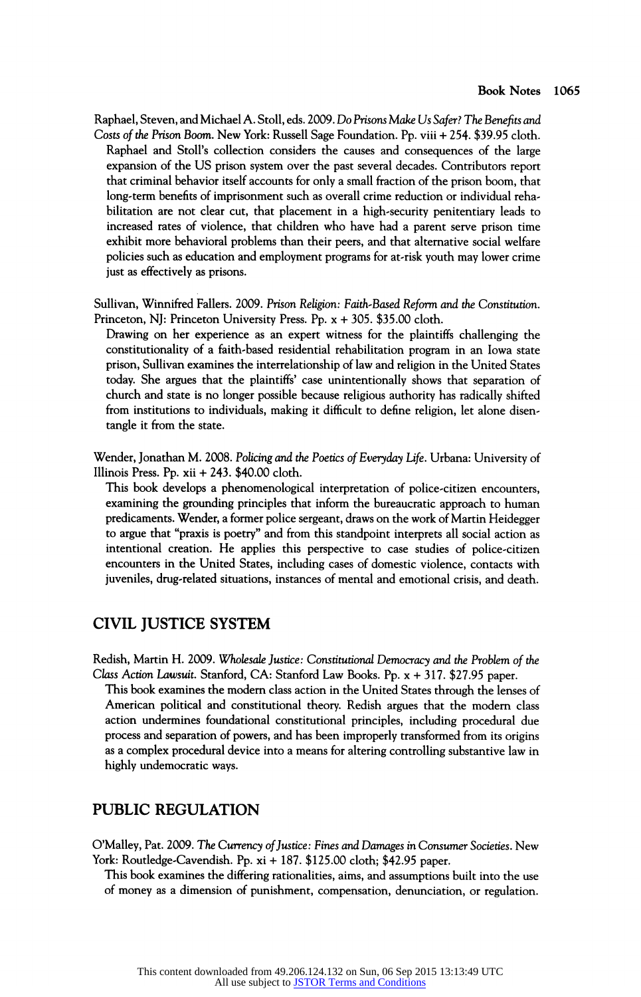Raphael, Steven, and Michael A. Stoll, eds. 2009. Do Prisons Make Us Safer? The Benefits and Costs of the Prison Boom. New York: Russell Sage Foundation. Pp. viii + 254. \$39.95 cloth. Raphael and Stoll's collection considers the causes and consequences of the large expansion of the US prison system over the past several decades. Contributors report that criminal behavior itself accounts for only a small fraction of the prison boom, that long-term benefits of imprisonment such as overall crime reduction or individual rehabilitation are not clear cut, that placement in a high-security penitentiary leads to increased rates of violence, that children who have had a parent serve prison time exhibit more behavioral problems than their peers, and that alternative social welfare policies such as education and employment programs for at-risk youth may lower crime just as effectively as prisons.

Sullivan, Winnifred Fallers. 2009. Prison Religion: Faith-Based Reform and the Constitution. Princeton, NJ: Princeton University Press. Pp. x + 305. \$35.00 cloth.

Drawing on her experience as an expert witness for the plaintiffs challenging the constitutionality of a faith-based residential rehabilitation program in an Iowa state prison, Sullivan examines the interrelationship of law and religion in the United States today. She argues that the plaintiffs' case unintentionally shows that separation of church and state is no longer possible because religious authority has radically shifted from institutions to individuals, making it difficult to define religion, let alone disentangle it from the state.

Wender, Jonathan M. 2008. Policing and the Poetics of Everyday Life. Urbana: University of Illinois Press. Pp. xii + 243. \$40.00 cloth.

This book develops a phenomenological interpretation of police-citizen encounters, examining the grounding principles that inform the bureaucratic approach to human predicaments. Wender, a former police sergeant, draws on the work of Martin Heidegger to argue that "praxis is poetry" and from this standpoint interprets all social action as intentional creation. He applies this perspective to case studies of police-citizen encounters in the United States, including cases of domestic violence, contacts with juveniles, drug-related situations, instances of mental and emotional crisis, and death.

#### CIVIL JUSTICE SYSTEM

Redish, Martin H. 2009. Wholesale justice: Constitutional Democracy and the Problem of the Class Action Lawsuit. Stanford, CA: Stanford Law Books. Pp. χ + 317. \$27.95 paper.

This book examines the modern class action in the United States through the lenses of American political and constitutional theory. Redish argues that the modern class action undermines foundational constitutional principles, including procedural due process and separation of powers, and has been improperly transformed from its origins as a complex procedural device into a means for altering controlling substantive law in highly undemocratic ways.

#### PUBLIC REGULATION

O'Malley, Pat. 2009. The Currency of Justice: Fines and Damages in Consumer Societies. New York: Routledge-Cavendish. Pp. xi + 187. \$125.00 cloth; \$42.95 paper.

This book examines the differing rationalities, aims, and assumptions built into the use of money as a dimension of punishment, compensation, denunciation, or regulation.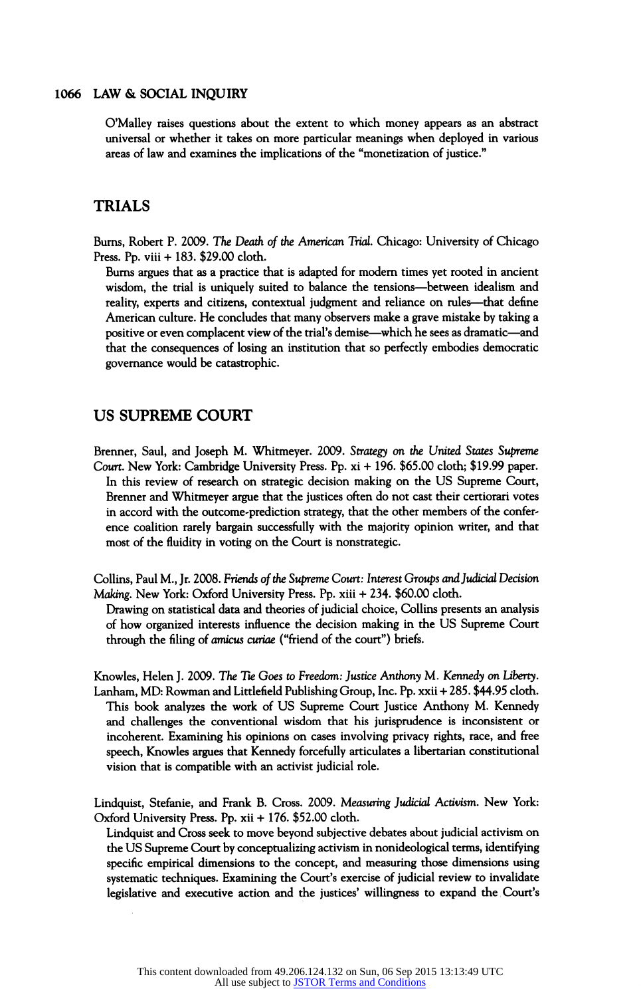O'Malley raises questions about the extent to which money appears as an abstract universal or whether it takes on more particular meanings when deployed in various areas of law and examines the implications of the "monetization of justice."

#### TRIALS

Burns, Robert P. 2009. The Death of the American Trial. Chicago: University of Chicago Press. Pp. viii + 183. \$29.00 cloth.

Burns argues that as a practice that is adapted for modem times yet rooted in ancient wisdom, the trial is uniquely suited to balance the tensions-between idealism and reality, experts and citizens, contextual judgment and reliance on rules—that define American culture. He concludes that many observers make a grave mistake by taking a positive or even complacent view of the trial's demise - which he sees as dramatic - and that the consequences of losing an institution that so perfectly embodies democratic governance would be catastrophic.

#### US SUPREME COURT

Brenner, Saul, and Joseph M. Whitmeyer. 2009. Strategy on the United States Supreme Court. New York: Cambridge University Press. Pp. xi + 196. \$65.00 cloth; \$19.99 paper. In this review of research on strategic decision making on the US Supreme Court, Brenner and Whitmeyer argue that the justices often do not cast their certiorari votes in accord with the outcome-prediction strategy, that the other members of the conference coalition rarely bargain successfully with the majority opinion writer, and that most of the fluidity in voting on the Court is nonstrategic.

Collins, Paul M., Jr. 2008. Friends of the Supreme Court: Interest Groups and Judicial Decision Making. New York: Oxford University Press. Pp. xiii + 234. \$60.00 cloth.

Drawing on statistical data and theories of judicial choice, Collins presents an analysis of how organized interests influence the decision making in the US Supreme Court through the filing of amicus curiae ("friend of the court") briefs.

Knowles, Helen J. 2009. The Tie Goes to Freedom: Justice Anthony M. Kennedy on Liberty. Lanham, MD: Rowman and Littlefield Publishing Group, Inc. Pp. xxii + 285. \$44.95 cloth. This book analyzes the work of US Supreme Court Justice Anthony M. Kennedy and challenges the conventional wisdom that his jurisprudence is inconsistent or incoherent. Examining his opinions on cases involving privacy rights, race, and free speech, Knowles argues that Kennedy forcefully articulates a libertarian constitutional vision that is compatible with an activist judicial role.

Lindquist, Stefanie, and Frank B. Cross. 2009. Measuring Judicial Activism. New York: Oxford University Press. Pp. xii + 176. \$52.00 cloth.

Lindquist and Cross seek to move beyond subjective debates about judicial activism on the US Supreme Court by conceptualizing activism in nonideological terms, identifying specific empirical dimensions to the concept, and measuring those dimensions using systematic techniques. Examining the Court's exercise of judicial review to invalidate legislative and executive action and the justices' willingness to expand the Court's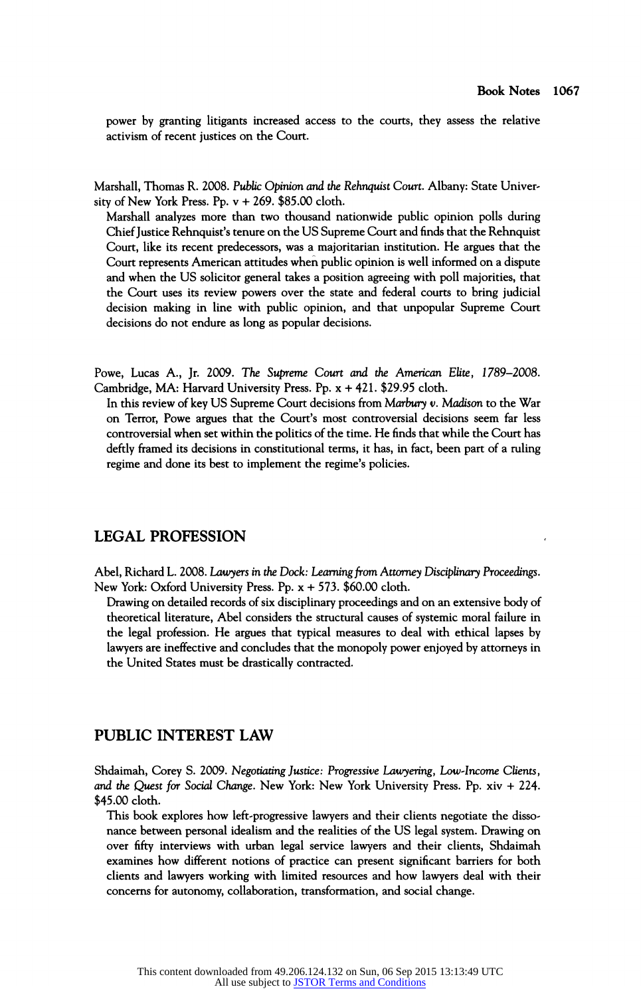power by granting litigants increased access to the courts, they assess the relative activism of recent justices on the Court.

Marshall, Thomas R. 2008. Public Opinion and the Rehnquist Court. Albany: State University of New York Press. Pp. ν + 269. \$85.00 cloth.

Marshall analyzes more than two thousand nationwide public opinion polls during Chief Justice Rehnquist's tenure on the US Supreme Court and finds that the Rehnquist Court, like its recent predecessors, was a majoritarian institution. He argues that the Court represents American attitudes when public opinion is well informed on a dispute and when the US solicitor general takes a position agreeing with poll majorities, that the Court uses its review powers over the state and federal courts to bring judicial decision making in line with public opinion, and that unpopular Supreme Court decisions do not endure as long as popular decisions.

Powe, Lucas A., Jr. 2009. The Supreme Court and the American Elite, 1789–2008. Cambridge, MA: Harvard University Press. Pp. χ + 421. \$29.95 cloth.

In this review of key US Supreme Court decisions from Marbury v. Madison to the War on Terror, Powe argues that the Court's most controversial decisions seem far less controversial when set within the politics of the time. He finds that while the Court has deftly framed its decisions in constitutional terms, it has, in fact, been part of a ruling regime and done its best to implement the regime's policies.

#### LEGAL PROFESSION

Abel, Richard L. 2008. Lawyers in the Dock: Learning from Attorney Disciplinary Proceeding. New York: Oxford University Press. Pp. χ + 573. \$60.00 cloth.

Drawing on detailed records of six disciplinary proceedings and on an extensive body of theoretical literature, Abel considers the structural causes of systemic moral failure in the legal profession. He argues that typical measures to deal with ethical lapses by lawyers are ineffective and concludes that the monopoly power enjoyed by attorneys in the United States must be drastically contracted.

#### PUBLIC INTEREST LAW

Shdaimah, Corey S. 2009. Negotiating Justice: Progressive Lawyering, Low-Income Clients, and the Quest for Social Change. New York: New York University Press. Pp. xiv + 224. \$45.00 cloth.

This book explores how left-progressive lawyers and their clients negotiate the dissonance between personal idealism and the realities of the US legal system. Drawing on over fifty interviews with urban legal service lawyers and their clients, Shdaimah examines how different notions of practice can present significant barriers for both clients and lawyers working with limited resources and how lawyers deal with their concerns for autonomy, collaboration, transformation, and social change.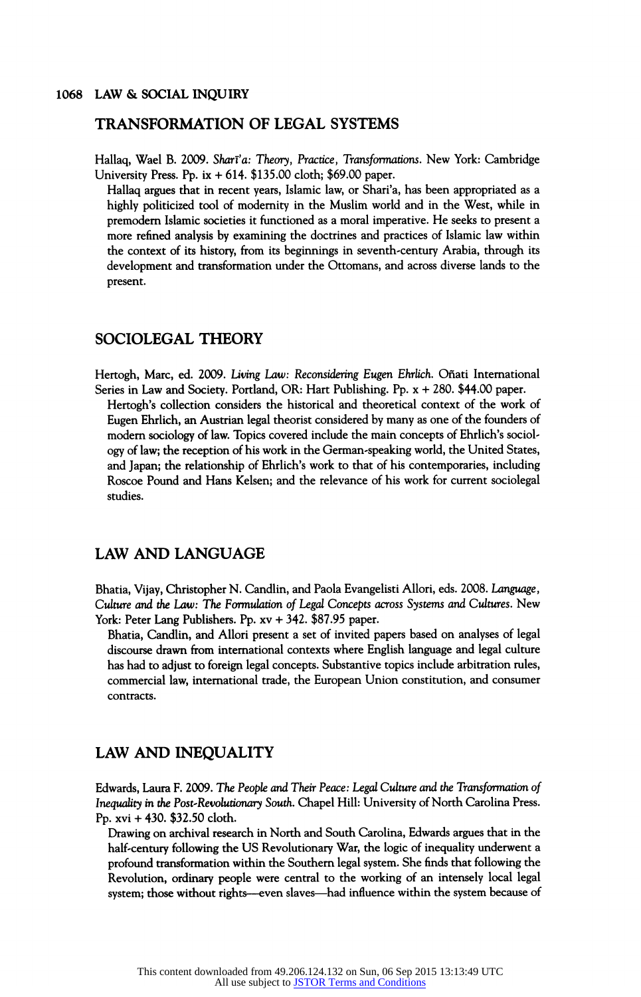#### TRANSFORMATION OF LEGAL SYSTEMS

Hallaq, Wael B. 2009. Sharī'a: Theory, Practice, Transformations. New York: Cambridge University Press. Pp. ix + 614. \$135.00 cloth; \$69.00 paper.

Hallaq argues that in recent years, Islamic law, or Shari'a, has been appropriated as a highly politicized tool of modernity in the Muslim world and in the West, while in premodern Islamic societies it functioned as a moral imperative. He seeks to present a more refined analysis by examining the doctrines and practices of Islamic law within the context of its history, from its beginnings in seventh-century Arabia, through its development and transformation uder the Ottomans, and across diverse lands to the present.

#### SOCIOLEGAL THEORY

Hertogh, Marc, ed. 2009. Living Law: Reconsidering Eugen Ehrlich. Oñati International Series in Law and Society. Portland, OR: Hart Publishing. Pp. χ + 280. \$44.00 paper. Hertogh's collection considers the historical and theoretical context of the work of Eugen Ehrlich, an Austrian legal theorist considered by many as one of the founders of modern sociology of law. Topics covered include the main concepts of Ehrlich's sociology of law; the reception of his work in the German-speaking world, the United States, and Japan; the relationship of Ehrlich's work to that of his contemporaries, including Roscoe Pound and Hans Kelsen; and the relevance of his work for current sociolegal studies.

#### LAW AND LANGUAGE

Bhatia, Vijay, Christopher N. Candlin, and Paola Evangelisti Allori, eds. 2008. Language, Culture and the Law: The Formulation of Legal Concepts across Systems and Cultures. New York: Peter Lang Publishers. Pp. xv + 342. \$87.95 paper.

Bhatia, Candlin, and Allori present a set of invited papers based on analyses of legal discourse drawn from international contexts where English language and legal culture has had to adjust to foreign legal concepts. Substantive topics include arbitration rules, commercial law, international trade, the European Union constitution, and consumer contracts.

#### LAW AND INEQUALITY

Edwards, Laura F. 2009. The People and Their Peace: Legal Culture and the Transformation of Inequality in the Post-Revolutionary South. Chapel Hill: University of North Carolina Press. Pp. xvi + 430. \$32.50 cloth.

Drawing on archival research in North and South Carolina, Edwards argues that in the half-century following the US Revolutionary War, the logic of inequality underwent a profound transformation within the Southern legal system. She finds that following the Revolution, ordinary people were central to the working of an intensely local legal system; those without rights—even slaves—had influence within the system because of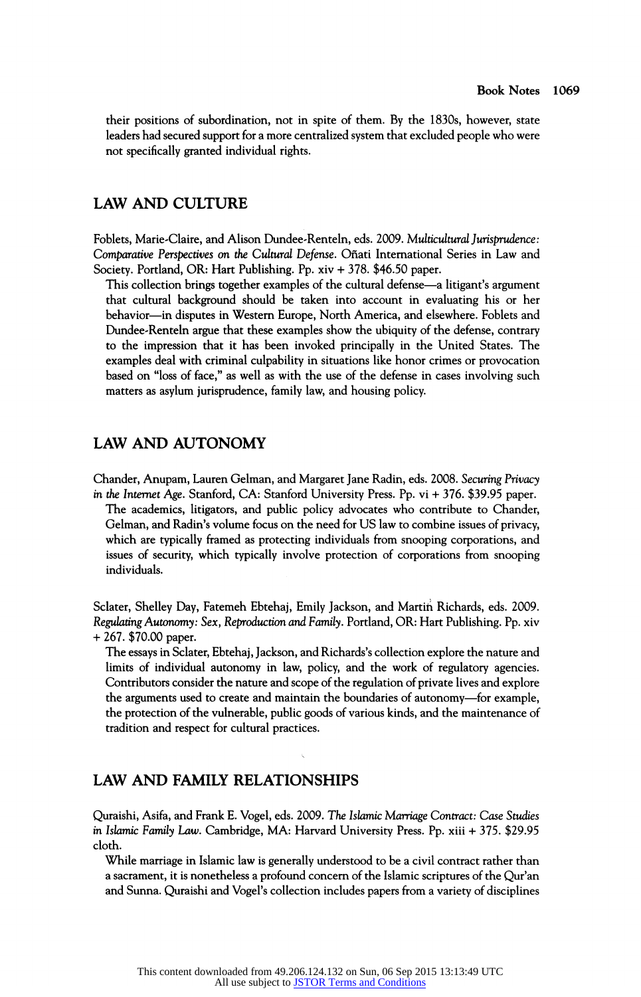their positions of subordination, not in spite of them. By the 1830s, however, state leaders had secured support for a more centralized system that excluded people who were not specifically granted individual rights.

#### LAW AND CULTURE

Foblets, Marie-Claire, and Alison Dundee-Renteln, eds. 2009. Multicultural Jurisprudence: Comparative Perspectives on the Cultural Defense. Oñati International Series in Law and Society. Portland, OR: Hart Publishing. Pp. xiv + 378. \$46.50 paper.

This collection brings together examples of the cultural defense—a litigant's argument that cultural background should be taken into account in evaluating his or her behavior-in disputes in Western Europe, North America, and elsewhere. Foblets and Dundee-Renteln argue that these examples show the ubiquity of the defense, contrary to the impression that it has been invoked principally in the United States. The examples deal with criminal culpability in situations like honor crimes or provocation based on "loss of face," as well as with the use of the defense in cases involving such matters as asylum jurisprudence, family law, and housing policy.

#### LAW AND AUTONOMY

Chander, Anupam, Lauren Gelman, and Margaret Jane Radin, eds. 2008. Securing Privacy in the Internet Age. Stanford, CA: Stanford University Press. Pp. vi + 376. \$39.95 paper. The academics, litigators, and public policy advocates who contribute to Chander, Gelman, and Radin's volume focus on the need for US law to combine issues of privacy, which are typically framed as protecting individuals from snooping corporations, and issues of security, which typically involve protection of corporations from snooping individuals.

Sclater, Shelley Day, Fatemeh Ebtehaj, Emily Jackson, and Martih Richards, eds. 2009. Regulating Autonomy: Sex, Reproduction and Family. Portland, OR: Hart Publishing. Pp. xiv + 267. \$70.00 paper.

The essays in Sclater, Ebtehaj, Jackson, and Richards's collection explore the nature and limits of individual autonomy in law, policy, and the work of regulatory agencies. Contributors consider the nature and scope of the regulation of private lives and explore the arguments used to create and maintain the boundaries of autonomy-for example, the protection of the vulnerable, public goods of various kinds, and the maintenance of tradition and respect for cultural practices.

#### LAW AND FAMILY RELATIONSHIPS

Quraishi, Asifa, and Frank E. Vogel, eds. 2009. The Islamic Marriage Contract: Case Studies in Islamic Family Law. Cambridge, MA: Harvard University Press. Pp. xiii + 375. \$29.95 cloth.

While marriage in Islamic law is generally understood to be a civil contract rather than a sacrament, it is nonetheless a profound concern of the Islamic scriptures of the Qur'an and Sunna. Quraishi and Vogel's collection includes papers from a variety of disciplines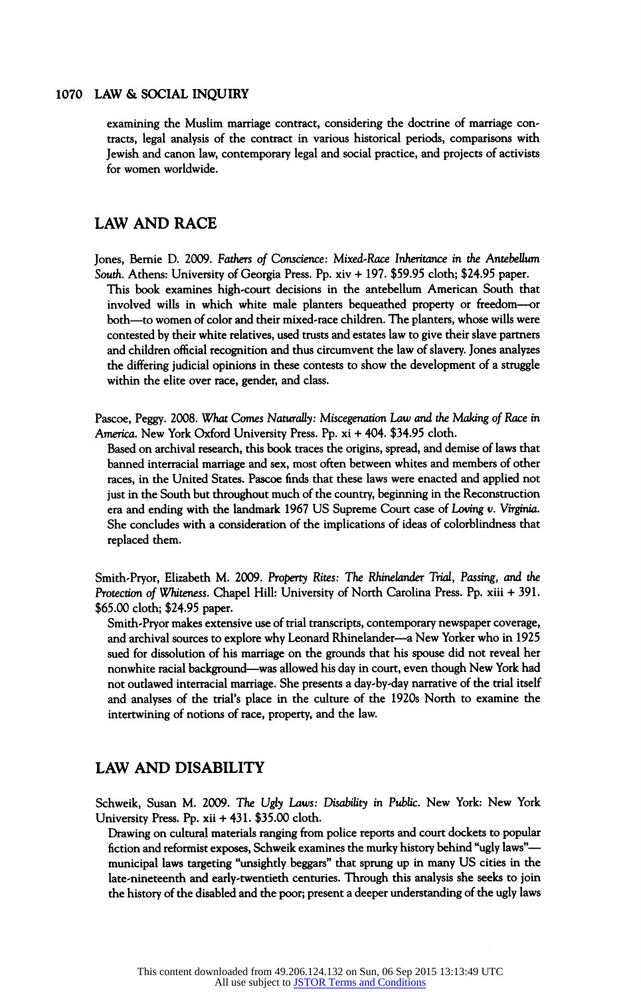examining the Muslim marriage contract, considering the doctrine of marriage contracts, legal analysis of the contract in various historical periods, comparisons with Jewish and canon law, contemporary legal and social practice, and projects of activists for women worldwide.

#### LAW AND RACE

Jones, Bernie D. 2009. Fathers of Conscience: Mixed-Race Inheritance in the Antebellum South. Athens: University of Georgia Press. Pp. xiv + 197. \$59.95 cloth; \$24.95 paper. This book examines high-court decisions in the antebellum American South that involved wills in which white male planters bequeathed property or freedom - or both - to women of color and their mixed-race children. The planters, whose wills were contested by their white relatives, used trusts and estates law to give their slave partners and children official recognition and thus circumvent the law of slavery. Jones analyzes the differing judicial opinions in these contests to show the development of a struggle within the elite over race, gender, and class.

Pascoe, Peggy. 2008. What Comes Naturally: Miscegenation Law and the Making of Race in America. New York Oxford University Press. Pp. xi + 404. \$34.95 cloth.

Based on archival research, this book traces the origins, spread, and demise of laws that banned interracial marriage and sex, most often between whites and members of other races, in the United States. Pascoe finds that these laws were enacted and applied not just in the South but throughout much of the country, beginning in the Reconstruction era and ending with the landmark 1967 US Supreme Court case of Loving v. Virginia. She concludes with a consideration of the implications of ideas of colorblindness that replaced them.

Smith-Pryor, Elizabeth M. 2009. Property Rites: The Rhinelander Trial, Passing, and the Protection of Whiteness. Chapel Hill: University of North Carolina Press. Pp. xiii + 391. \$65.00 cloth; \$24.95 paper.

Smith-Pryor makes extensive use of trial transcripts, contemporary newspaper coverage, and archival sources to explore why Leonard Rhinelander—a New Yorker who in 1925 sued for dissolution of his marriage on the grounds that his spouse did not reveal her nonwhite racial background—was allowed his day in court, even though New York had not outlawed interracial marriage. She presents a day-by-day narrative of the trial itself and analyses of the trial's place in the culture of the 1920s North to examine the intertwining of notions of race, property, and the law.

#### LAW AND DISABILITY

Schweik, Susan M. 2009. The Ugly Laws: Disability in Public. New York: New York University Press. Pp. xii + 431. \$35.00 cloth.

Drawing on cultural materials ranging from police reports and court dockets to popular fiction and reformist exposes, Schweik examines the murky history behind "ugly laws"municipal laws targeting "unsightly beggars" that sprung up in many US cities in the late-nineteenth and early-twentieth centuries. Through this analysis she seeks to join the history of the disabled and the poor; present a deeper understanding of the ugly laws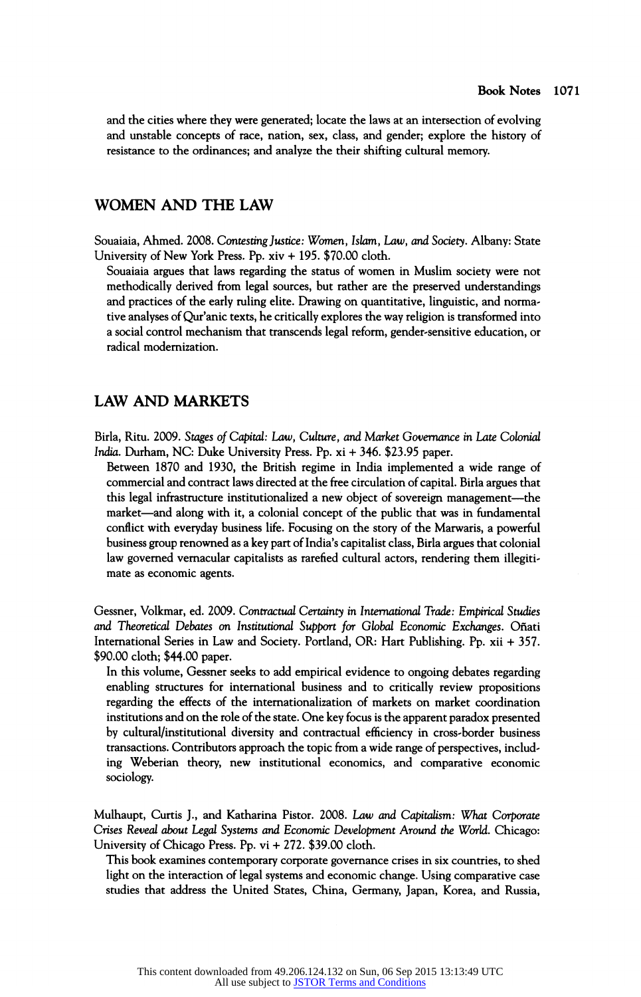and the cities where they were generated; locate the laws at an intersection of evolving and unstable concepts of race, nation, sex, class, and gender; explore the history of resistance to the ordinances; and analyze the their shifting cultural memory.

#### WOMEN AND THE LAW

Souaiaia, Ahmed. 2008. Contesting Justice: Women, Islam, Law, and Society. Albany: State University of New York Press. Pp. xiv + 195. \$70.00 cloth.

Souaiaia argues that laws regarding the status of women in Muslim society were not methodically derived from legal sources, but rather are the preserved understandings and practices of the early ruling elite. Drawing on quantitative, linguistic, and normative analyses of Qur'anic texts, he critically explores the way religion is transformed into a social control mechanism that transcends legal reform, gender-sensitive education, or radical modernization.

#### LAW AND MARKETS

Birla, Ritu. 2009. Stages of Capital: Law, Culture, and Market Governance in Late Colonial India. Durham, NC: Duke University Press. Pp. xi + 346. \$23.95 paper.

Between 1870 and 1930, the British regime in India implemented a wide range of commercial and contract laws directed at the free circulation of capital. Birla argues that this legal infrastructure institutionalized a new object of sovereign management—the market—and along with it, a colonial concept of the public that was in fundamental conflict with everyday business life. Focusing on the story of the Marwaris, a powerful business group renowned as a key part of India's capitalist class, Birla argues that colonial law governed vernacular capitalists as rarefied cultural actors, rendering them illegitimate as economic agents.

Gessner, Volkmar, ed. 2009. Contractual Certainty in International Trade: Empirical Studies and Theoretical Debates on Institutional Support for Global Economic Exchanges. Onati International Series in Law and Society. Portland, OR: Hart Publishing. Pp. xii + 357. \$90.00 cloth; \$44.00 paper.

In this volume, Gessner seeks to add empirical evidence to ongoing debates regarding enabling structures for international business and to critically review propositions regarding the effects of the internationalization of markets on market coordination institutions and on the role of the state. One key focus is the apparent paradox presented by cultural/institutional diversity and contractual efficiency in cross-border business transactions. Contributors approach the topic from awide range of perspectives, including Weberian theory, new institutional economics, and comparative economic sociology.

Mulhaupt, Curtis J., and Katharina Pistor. 2008. Law and Capitalism: What Corporate Crises Reveal about Legal Systems and Economic Development Around the World. Chicago: University of Chicago Press. Pp. vi + 272. \$39.00 cloth.

This book examines contemporary corporate governance crises in six countries, to shed light on the interaction of legal systems and economic change. Using comparative case studies that address the United States, China, Germany, Japan, Korea, and Russia,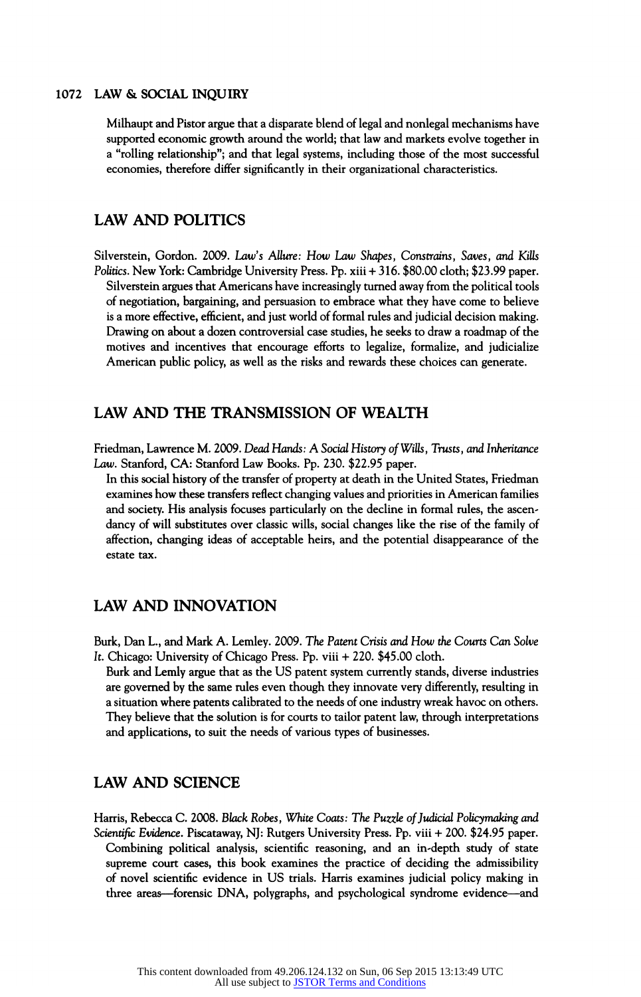Milhaupt and Pistor argue that a disparate blend of legal and nonlegal mechanisms have supported economic growth around the world; that law and markets evolve together in a "rolling relationship"; and that legal systems, including those of the most successful economies, therefore differ significantly in their organizational characteristics.

#### LAW AND POLITICS

Silverstein, Gordon. 2009. Law's Allure: How Law Shapes, Constrains, Saves, and Kills Politics. New York: Cambridge University Press. Pp. xiii + 316. \$80.00 cloth; \$23.99 paper. Silverstein argues that Americans have increasingly turned away from the political tools of negotiation, bargaining, and persuasion to embrace what they have come to believe is a more effective, efficient, and just world of formal rules and judicial decision making. Drawing on about a dozen controversial case studies, he seeks to draw a roadmap of the motives and incentives that encourage efforts to legalize, formalize, and judicialize American public policy, as well as the risks and rewards these choices can generate.

#### LAW AND THE TRANSMISSION OF WEALTH

Friedman, Lawrence M. 2009. Dead Hands: A Social History of Witts, Trusts, and Inheritance Law. Stanford, CA: Stanford Law Books. Pp. 230. \$22.95 paper.

In this social history of the transfer of property at death in the United States, Friedman examines how these transfers reflect changing values and priorities in American families and society. His analysis focuses particularly on the decline in formal rules, the ascendancy of will substitutes over classic wills, social changes like the rise of the family of affection, changing ideas of acceptable heirs, and the potential disappearance of the estate tax.

#### LAW AND INNOVATION

Burk, Dan L, and Mark A. Lemley. 2009. The Patent Crisis and How the Courts Can Solve It. Chicago: University of Chicago Press. Pp. viii + 220. \$45.00 cloth.

Burk and Lemly argue that as the US patent system currently stands, diverse industries are governed by the same rules even though they innovate very differently, resulting in a situation where patents calibrated to the needs of one industry wreak havoc on others. They believe that the solution is for courts to tailor patent law, through interpretations and applications, to suit the needs of various types of businesses.

#### LAW AND SCIENCE

Harris, Rebecca C. 2008. Black Robes, White Coats: The Puzzle of Judicial Policymaking and Scientific Evidence. Piscataway, NJ: Rutgers University Press. Pp. viii + 200. \$24.95 paper. Combining political analysis, scientific reasoning, and an in-depth study of state supreme court cases, this book examines the practice of deciding the admissibility of novel scientific evidence in US trials. Harris examines judicial policy making in three areas—forensic DNA, polygraphs, and psychological syndrome evidence—and